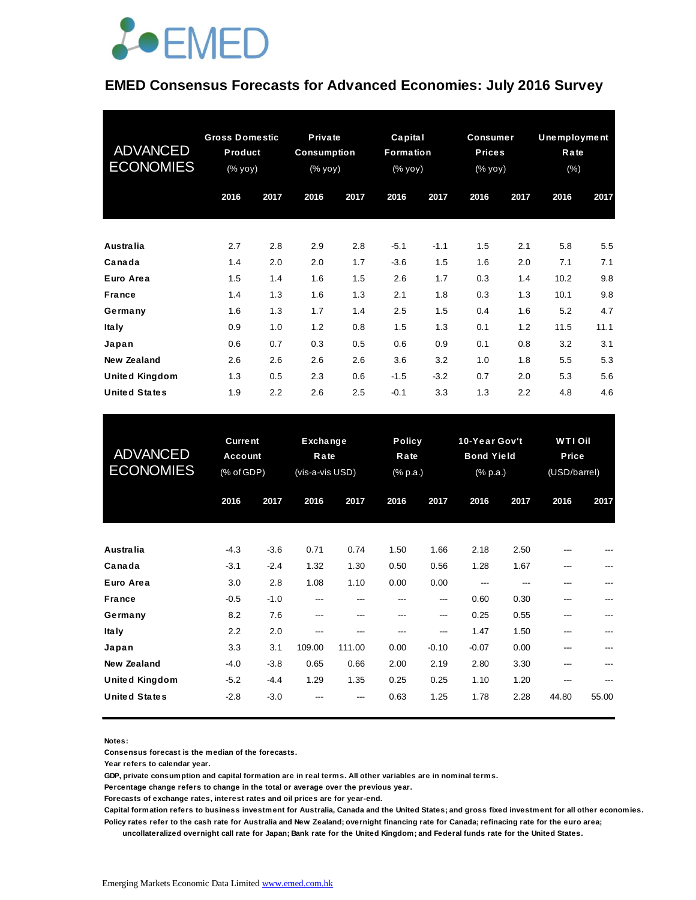

#### **EMED Consensus Forecasts for Advanced Economies: July 2016 Survey**

| <b>ADVANCED</b><br><b>ECONOMIES</b> | <b>Gross Domestic</b><br>Product<br>(% yoy) |      | Private<br><b>Consumption</b><br>(% yoy) |      | Capital<br>Formation<br>(% yoy) |        | <b>Consumer</b><br><b>Prices</b><br>(% yoy) |      | <b>Unemployment</b><br>Rate<br>(%) |      |
|-------------------------------------|---------------------------------------------|------|------------------------------------------|------|---------------------------------|--------|---------------------------------------------|------|------------------------------------|------|
|                                     | 2016                                        | 2017 | 2016                                     | 2017 | 2016                            | 2017   | 2016                                        | 2017 | 2016                               | 2017 |
| Australia                           | 2.7                                         | 2.8  | 2.9                                      | 2.8  | $-5.1$                          | $-1.1$ | 1.5                                         | 2.1  | 5.8                                | 5.5  |
| Canada                              | 1.4                                         | 2.0  | 2.0                                      | 1.7  | $-3.6$                          | 1.5    | 1.6                                         | 2.0  | 7.1                                | 7.1  |
| Euro Area                           | 1.5                                         | 1.4  | 1.6                                      | 1.5  | 2.6                             | 1.7    | 0.3                                         | 1.4  | 10.2                               | 9.8  |
| <b>France</b>                       | 1.4                                         | 1.3  | 1.6                                      | 1.3  | 2.1                             | 1.8    | 0.3                                         | 1.3  | 10.1                               | 9.8  |
| Germany                             | 1.6                                         | 1.3  | 1.7                                      | 1.4  | 2.5                             | 1.5    | 0.4                                         | 1.6  | 5.2                                | 4.7  |
| <b>Italy</b>                        | 0.9                                         | 1.0  | 1.2                                      | 0.8  | 1.5                             | 1.3    | 0.1                                         | 1.2  | 11.5                               | 11.1 |
| Japan                               | 0.6                                         | 0.7  | 0.3                                      | 0.5  | 0.6                             | 0.9    | 0.1                                         | 0.8  | 3.2                                | 3.1  |
| New Zealand                         | 2.6                                         | 2.6  | 2.6                                      | 2.6  | 3.6                             | 3.2    | 1.0                                         | 1.8  | 5.5                                | 5.3  |
| <b>United Kingdom</b>               | 1.3                                         | 0.5  | 2.3                                      | 0.6  | $-1.5$                          | $-3.2$ | 0.7                                         | 2.0  | 5.3                                | 5.6  |
| <b>United States</b>                | 1.9                                         | 2.2  | 2.6                                      | 2.5  | $-0.1$                          | 3.3    | 1.3                                         | 2.2  | 4.8                                | 4.6  |

| <b>United States</b>                          | 1.9                                            | 2.2              | 2.6                                 | 2.5            | $-0.1$                            | 3.3             | 1.3                                            | 2.2          | 4.8                                     | 4.6   |
|-----------------------------------------------|------------------------------------------------|------------------|-------------------------------------|----------------|-----------------------------------|-----------------|------------------------------------------------|--------------|-----------------------------------------|-------|
| <b>ADVANCED</b><br><b>ECONOMIES</b>           | <b>Current</b><br><b>Account</b><br>(% of GDP) |                  | Exchange<br>Rate<br>(vis-a-vis USD) |                | <b>Policy</b><br>Rate<br>(% p.a.) |                 | 10-Year Gov't<br><b>Bond Yield</b><br>(% p.a.) |              | <b>WTI Oil</b><br>Price<br>(USD/barrel) |       |
|                                               | 2016                                           | 2017             | 2016                                | 2017           | 2016                              | 2017            | 2016                                           | 2017         | 2016                                    | 2017  |
| Australia                                     | $-4.3$                                         | $-3.6$           | 0.71                                | 0.74           | 1.50                              | 1.66            | 2.18                                           | 2.50         |                                         |       |
| Canada<br>Euro Area                           | $-3.1$<br>3.0                                  | $-2.4$<br>2.8    | 1.32<br>1.08                        | 1.30<br>1.10   | 0.50<br>0.00                      | 0.56<br>0.00    | 1.28<br>---                                    | 1.67<br>---  | ---<br>---                              |       |
| <b>France</b>                                 | $-0.5$                                         | $-1.0$           | ---                                 | ---            | ---                               | ---             | 0.60                                           | 0.30         | ---                                     |       |
| Germany<br><b>Italy</b>                       | 8.2<br>2.2                                     | 7.6<br>2.0       | ---<br>---                          | ---<br>---     | $-$<br>---                        | $---$<br>$---$  | 0.25<br>1.47                                   | 0.55<br>1.50 | ---<br>---                              | ---   |
| Japan<br><b>New Zealand</b>                   | 3.3<br>$-4.0$                                  | 3.1<br>$-3.8$    | 109.00<br>0.65                      | 111.00<br>0.66 | 0.00<br>2.00                      | $-0.10$<br>2.19 | $-0.07$<br>2.80                                | 0.00<br>3.30 | ---<br>---                              | ---   |
| <b>United Kingdom</b><br><b>United States</b> | $-5.2$<br>$-2.8$                               | $-4.4$<br>$-3.0$ | 1.29                                | 1.35           | 0.25<br>0.63                      | 0.25<br>1.25    | 1.10<br>1.78                                   | 1.20<br>2.28 | ---<br>44.80                            | 55.00 |
|                                               |                                                |                  |                                     |                |                                   |                 |                                                |              |                                         |       |

**Notes:** 

**Consensus forecast is the median of the forecasts.**

**Year refers to calendar year.**

**GDP, private consumption and capital formation are in real terms. All other variables are in nominal terms.**

**Percentage change refers to change in the total or average over the previous year.**

**Forecasts of exchange rates, interest rates and oil prices are for year-end.**

**Capital formation refers to business investment for Australia, Canada and the United States; and gross fixed investment for all other economies. Policy rates refer to the cash rate for Australia and New Zealand; overnight financing rate for Canada; refinacing rate for the euro area;** 

 **uncollateralized overnight call rate for Japan; Bank rate for the United Kingdom; and Federal funds rate for the United States.**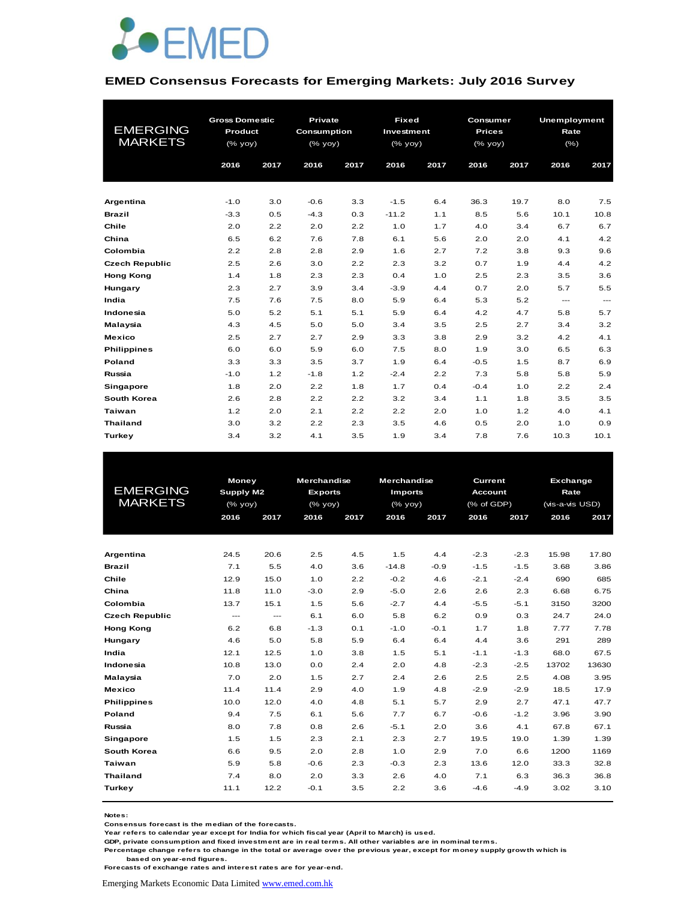

#### **EMED Consensus Forecasts for Emerging Markets: July 2016 Survey**

| <b>EMERGING</b><br><b>MARKETS</b> | <b>Gross Domestic</b><br>Product<br>(% yoy)<br>2016 | 2017 | Private<br>Consumption<br>(% yoy)<br>2016 | 2017 | <b>Fixed</b><br>Investment<br>(% yoy)<br>2016 | 2017 | Consumer<br><b>Prices</b><br>(% yoy)<br>2016 | 2017 | Unemployment<br>Rate<br>$(\% )$<br>2016 | 2017              |
|-----------------------------------|-----------------------------------------------------|------|-------------------------------------------|------|-----------------------------------------------|------|----------------------------------------------|------|-----------------------------------------|-------------------|
| Argentina                         | $-1.0$                                              | 3.0  | $-0.6$                                    | 3.3  | $-1.5$                                        | 6.4  | 36.3                                         | 19.7 | 8.0                                     | 7.5               |
| <b>Brazil</b>                     | $-3.3$                                              | 0.5  | $-4.3$                                    | 0.3  | $-11.2$                                       | 1.1  | 8.5                                          | 5.6  | 10.1                                    | 10.8              |
| Chile                             | 2.0                                                 | 2.2  | 2.0                                       | 2.2  | 1.0                                           | 1.7  | 4.0                                          | 3.4  | 6.7                                     | 6.7               |
| China                             | 6.5                                                 | 6.2  | 7.6                                       | 7.8  | 6.1                                           | 5.6  | 2.0                                          | 2.0  | 4.1                                     | 4.2               |
| Colombia                          | 2.2                                                 | 2.8  | 2.8                                       | 2.9  | 1.6                                           | 2.7  | 7.2                                          | 3.8  | 9.3                                     | 9.6               |
| <b>Czech Republic</b>             | 2.5                                                 | 2.6  | 3.0                                       | 2.2  | 2.3                                           | 3.2  | 0.7                                          | 1.9  | 4.4                                     | 4.2               |
| <b>Hong Kong</b>                  | 1.4                                                 | 1.8  | 2.3                                       | 2.3  | 0.4                                           | 1.0  | 2.5                                          | 2.3  | 3.5                                     | 3.6               |
| Hungary                           | 2.3                                                 | 2.7  | 3.9                                       | 3.4  | $-3.9$                                        | 4.4  | 0.7                                          | 2.0  | 5.7                                     | 5.5               |
| India                             | 7.5                                                 | 7.6  | 7.5                                       | 8.0  | 5.9                                           | 6.4  | 5.3                                          | 5.2  | $\qquad \qquad -$                       | $\qquad \qquad -$ |
| Indonesia                         | 5.0                                                 | 5.2  | 5.1                                       | 5.1  | 5.9                                           | 6.4  | 4.2                                          | 4.7  | 5.8                                     | 5.7               |
| Malaysia                          | 4.3                                                 | 4.5  | 5.0                                       | 5.0  | 3.4                                           | 3.5  | 2.5                                          | 2.7  | 3.4                                     | 3.2               |
| <b>Mexico</b>                     | 2.5                                                 | 2.7  | 2.7                                       | 2.9  | 3.3                                           | 3.8  | 2.9                                          | 3.2  | 4.2                                     | 4.1               |
| <b>Philippines</b>                | 6.0                                                 | 6.0  | 5.9                                       | 6.0  | 7.5                                           | 8.0  | 1.9                                          | 3.0  | 6.5                                     | 6.3               |
| Poland                            | 3.3                                                 | 3.3  | 3.5                                       | 3.7  | 1.9                                           | 6.4  | $-0.5$                                       | 1.5  | 8.7                                     | 6.9               |
| Russia                            | $-1.0$                                              | 1.2  | $-1.8$                                    | 1.2  | $-2.4$                                        | 2.2  | 7.3                                          | 5.8  | 5.8                                     | 5.9               |
| <b>Singapore</b>                  | 1.8                                                 | 2.0  | 2.2                                       | 1.8  | 1.7                                           | 0.4  | $-0.4$                                       | 1.0  | 2.2                                     | 2.4               |
| South Korea                       | 2.6                                                 | 2.8  | 2.2                                       | 2.2  | 3.2                                           | 3.4  | 1.1                                          | 1.8  | 3.5                                     | 3.5               |
| <b>Taiwan</b>                     | 1.2                                                 | 2.0  | 2.1                                       | 2.2  | 2.2                                           | 2.0  | 1.0                                          | 1.2  | 4.0                                     | 4.1               |
| <b>Thailand</b>                   | 3.0                                                 | 3.2  | 2.2                                       | 2.3  | 3.5                                           | 4.6  | 0.5                                          | 2.0  | 1.0                                     | 0.9               |
| Turkey                            | 3.4                                                 | 3.2  | 4.1                                       | 3.5  | 1.9                                           | 3.4  | 7.8                                          | 7.6  | 10.3                                    | 10.1              |

| EMERGING<br><b>MARKETS</b> |                   | Money<br>Supply M2<br>(% yoy)       |        | <b>Merchandise</b><br><b>Exports</b><br>$(%$ (% yoy) | <b>Merchandise</b><br><b>Imports</b><br>$(%$ (% yoy) |        | Current<br><b>Account</b><br>(% of GDP) |        | <b>Exchange</b><br>Rate<br>(vis-a-vis USD) |       |
|----------------------------|-------------------|-------------------------------------|--------|------------------------------------------------------|------------------------------------------------------|--------|-----------------------------------------|--------|--------------------------------------------|-------|
|                            | 2016              | 2017                                | 2016   | 2017                                                 | 2016                                                 | 2017   | 2016                                    | 2017   | 2016                                       | 2017  |
|                            |                   |                                     |        |                                                      |                                                      |        |                                         |        |                                            |       |
| Argentina                  | 24.5              | 20.6                                | 2.5    | 4.5                                                  | 1.5                                                  | 4.4    | $-2.3$                                  | $-2.3$ | 15.98                                      | 17.80 |
| <b>Brazil</b>              | 7.1               | 5.5                                 | 4.0    | 3.6                                                  | $-14.8$                                              | $-0.9$ | $-1.5$                                  | $-1.5$ | 3.68                                       | 3.86  |
| Chile                      | 12.9              | 15.0                                | 1.0    | 2.2                                                  | $-0.2$                                               | 4.6    | $-2.1$                                  | $-2.4$ | 690                                        | 685   |
| China                      | 11.8              | 11.0                                | $-3.0$ | 2.9                                                  | $-5.0$                                               | 2.6    | 2.6                                     | 2.3    | 6.68                                       | 6.75  |
| Colombia                   | 13.7              | 15.1                                | 1.5    | 5.6                                                  | $-2.7$                                               | 4.4    | $-5.5$                                  | $-5.1$ | 3150                                       | 3200  |
| <b>Czech Republic</b>      | $\qquad \qquad -$ | $\hspace{0.05cm}---\hspace{0.05cm}$ | 6.1    | 6.0                                                  | 5.8                                                  | 6.2    | 0.9                                     | 0.3    | 24.7                                       | 24.0  |
| <b>Hong Kong</b>           | 6.2               | 6.8                                 | $-1.3$ | 0.1                                                  | $-1.0$                                               | $-0.1$ | 1.7                                     | 1.8    | 7.77                                       | 7.78  |
| Hungary                    | 4.6               | 5.0                                 | 5.8    | 5.9                                                  | 6.4                                                  | 6.4    | 4.4                                     | 3.6    | 291                                        | 289   |
| India                      | 12.1              | 12.5                                | 1.0    | 3.8                                                  | 1.5                                                  | 5.1    | $-1.1$                                  | $-1.3$ | 68.0                                       | 67.5  |
| Indonesia                  | 10.8              | 13.0                                | 0.0    | 2.4                                                  | 2.0                                                  | 4.8    | $-2.3$                                  | $-2.5$ | 13702                                      | 13630 |
| Malaysia                   | 7.0               | 2.0                                 | 1.5    | 2.7                                                  | 2.4                                                  | 2.6    | 2.5                                     | 2.5    | 4.08                                       | 3.95  |
| Mexico                     | 11.4              | 11.4                                | 2.9    | 4.0                                                  | 1.9                                                  | 4.8    | $-2.9$                                  | $-2.9$ | 18.5                                       | 17.9  |
| <b>Philippines</b>         | 10.0              | 12.0                                | 4.0    | 4.8                                                  | 5.1                                                  | 5.7    | 2.9                                     | 2.7    | 47.1                                       | 47.7  |
| Poland                     | 9.4               | 7.5                                 | 6.1    | 5.6                                                  | 7.7                                                  | 6.7    | $-0.6$                                  | $-1.2$ | 3.96                                       | 3.90  |
| Russia                     | 8.0               | 7.8                                 | 0.8    | 2.6                                                  | $-5.1$                                               | 2.0    | 3.6                                     | 4.1    | 67.8                                       | 67.1  |
| Singapore                  | 1.5               | 1.5                                 | 2.3    | 2.1                                                  | 2.3                                                  | 2.7    | 19.5                                    | 19.0   | 1.39                                       | 1.39  |
| South Korea                | 6.6               | 9.5                                 | 2.0    | 2.8                                                  | 1.0                                                  | 2.9    | 7.0                                     | 6.6    | 1200                                       | 1169  |
| Taiwan                     | 5.9               | 5.8                                 | $-0.6$ | 2.3                                                  | $-0.3$                                               | 2.3    | 13.6                                    | 12.0   | 33.3                                       | 32.8  |
| <b>Thailand</b>            | 7.4               | 8.0                                 | 2.0    | 3.3                                                  | 2.6                                                  | 4.0    | 7.1                                     | 6.3    | 36.3                                       | 36.8  |
| Turkey                     | 11.1              | 12.2                                | $-0.1$ | 3.5                                                  | 2.2                                                  | 3.6    | $-4.6$                                  | $-4.9$ | 3.02                                       | 3.10  |
|                            |                   |                                     |        |                                                      |                                                      |        |                                         |        |                                            |       |

**Notes:** 

**Consensus forecast is the median of the forecasts.**

**Year refers to calendar year except for India for which fiscal year (April to March) is used.**

**GDP, private consumption and fixed investment are in real terms. All other variables are in nominal terms.**

**Percentage change refers to change in the total or average over the previous year, except for money supply growth which is based on year-end figures. Forecasts of exchange rates and interest rates are for year-end.**

Emerging Markets Economic Data Limited www.emed.com.hk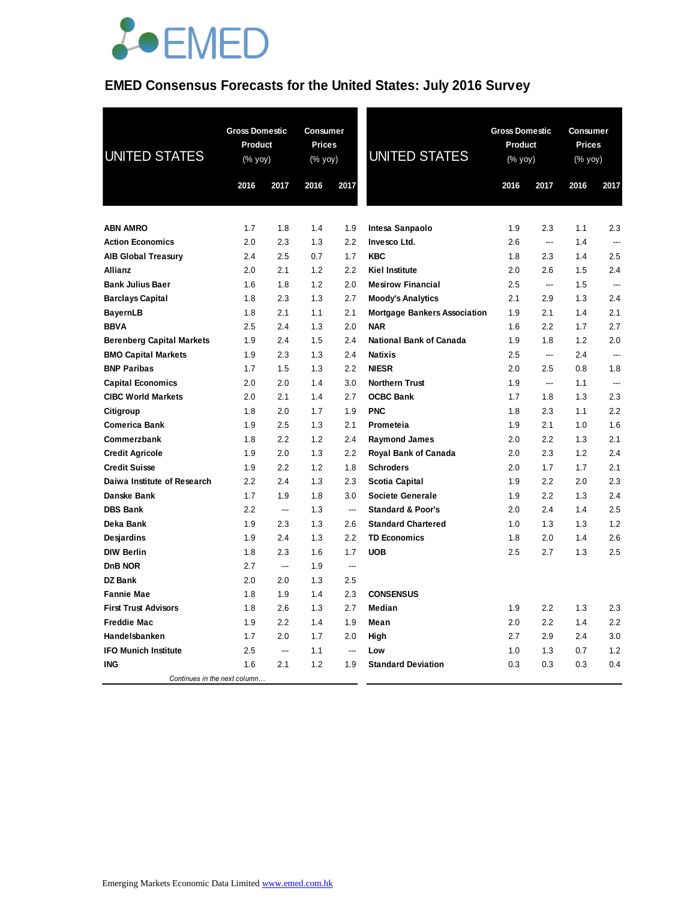

#### **EMED Consensus Forecasts for the United States: July 2016 Survey**

| <b>UNITED STATES</b>             | <b>Gross Domestic</b><br>Product<br>(% yoy) |      | Consumer<br>Prices<br>(% yoy) |                          | <b>UNITED STATES</b>                | <b>Gross Domestic</b><br>Product<br>(% yoy) |                          | Consumer<br>Prices<br>(% yoy) |                |
|----------------------------------|---------------------------------------------|------|-------------------------------|--------------------------|-------------------------------------|---------------------------------------------|--------------------------|-------------------------------|----------------|
|                                  | 2016                                        | 2017 | 2016                          | 2017                     |                                     | 2016                                        | 2017                     | 2016                          | 2017           |
| <b>ABN AMRO</b>                  | 1.7                                         | 1.8  | 1.4                           | 1.9                      | Intesa Sanpaolo                     | 1.9                                         | 2.3                      | 1.1                           | 2.3            |
| <b>Action Economics</b>          | 2.0                                         | 2.3  | 1.3                           | 2.2                      | Invesco Ltd.                        | 2.6                                         | $\overline{\phantom{a}}$ | 1.4                           |                |
| <b>AIB Global Treasury</b>       | 2.4                                         | 2.5  | 0.7                           | 1.7                      | <b>KBC</b>                          | 1.8                                         | 2.3                      | 1.4                           | 2.5            |
| <b>Allianz</b>                   | 2.0                                         | 2.1  | 1.2                           | 2.2                      | <b>Kiel Institute</b>               | 2.0                                         | 2.6                      | 1.5                           | 2.4            |
| <b>Bank Julius Baer</b>          | 1.6                                         | 1.8  | 1.2                           | 2.0                      | <b>Mesirow Financial</b>            | 2.5                                         | ---                      | 1.5                           | ---            |
| <b>Barclays Capital</b>          | 1.8                                         | 2.3  | 1.3                           | 2.7                      | <b>Moody's Analytics</b>            | 2.1                                         | 2.9                      | 1.3                           | 2.4            |
| <b>BayernLB</b>                  | 1.8                                         | 2.1  | 1.1                           | 2.1                      | <b>Mortgage Bankers Association</b> | 1.9                                         | 2.1                      | 1.4                           | 2.1            |
| <b>BBVA</b>                      | 2.5                                         | 2.4  | 1.3                           | 2.0                      | <b>NAR</b>                          | 1.6                                         | 2.2                      | 1.7                           | 2.7            |
| <b>Berenberg Capital Markets</b> | 1.9                                         | 2.4  | 1.5                           | 2.4                      | National Bank of Canada             | 1.9                                         | 1.8                      | 1.2                           | 2.0            |
| <b>BMO Capital Markets</b>       | 1.9                                         | 2.3  | 1.3                           | 2.4                      | <b>Natixis</b>                      | 2.5                                         | $\overline{a}$           | 2.4                           | $\overline{a}$ |
| <b>BNP Paribas</b>               | 1.7                                         | 1.5  | 1.3                           | 2.2                      | <b>NIESR</b>                        | 2.0                                         | 2.5                      | 0.8                           | 1.8            |
| <b>Capital Economics</b>         | 2.0                                         | 2.0  | 1.4                           | 3.0                      | <b>Northern Trust</b>               | 1.9                                         | ---                      | 1.1                           | ---            |
| <b>CIBC World Markets</b>        | 2.0                                         | 2.1  | 1.4                           | 2.7                      | <b>OCBC Bank</b>                    | 1.7                                         | 1.8                      | 1.3                           | 2.3            |
| Citigroup                        | 1.8                                         | 2.0  | 1.7                           | 1.9                      | <b>PNC</b>                          | 1.8                                         | 2.3                      | 1.1                           | 2.2            |
| <b>Comerica Bank</b>             | 1.9                                         | 2.5  | 1.3                           | 2.1                      | Prometeia                           | 1.9                                         | 2.1                      | 1.0                           | 1.6            |
| Commerzbank                      | 1.8                                         | 2.2  | 1.2                           | 2.4                      | <b>Raymond James</b>                | 2.0                                         | 2.2                      | 1.3                           | 2.1            |
| <b>Credit Agricole</b>           | 1.9                                         | 2.0  | 1.3                           | 2.2                      | Royal Bank of Canada                | 2.0                                         | 2.3                      | 1.2                           | 2.4            |
| <b>Credit Suisse</b>             | 1.9                                         | 2.2  | 1.2                           | 1.8                      | <b>Schroders</b>                    | 2.0                                         | 1.7                      | 1.7                           | 2.1            |
| Daiwa Institute of Research      | 2.2                                         | 2.4  | 1.3                           | 2.3                      | <b>Scotia Capital</b>               | 1.9                                         | 2.2                      | 2.0                           | 2.3            |
| Danske Bank                      | 1.7                                         | 1.9  | 1.8                           | 3.0                      | <b>Societe Generale</b>             | 1.9                                         | 2.2                      | 1.3                           | 2.4            |
| <b>DBS Bank</b>                  | 2.2                                         | ---  | 1.3                           | $\overline{\phantom{a}}$ | <b>Standard &amp; Poor's</b>        | 2.0                                         | 2.4                      | 1.4                           | 2.5            |
| Deka Bank                        | 1.9                                         | 2.3  | 1.3                           | 2.6                      | <b>Standard Chartered</b>           | 1.0                                         | 1.3                      | 1.3                           | 1.2            |
| Desjardins                       | 1.9                                         | 2.4  | 1.3                           | 2.2                      | <b>TD Economics</b>                 | 1.8                                         | 2.0                      | 1.4                           | 2.6            |
| <b>DIW Berlin</b>                | 1.8                                         | 2.3  | 1.6                           | 1.7                      | <b>UOB</b>                          | 2.5                                         | 2.7                      | 1.3                           | 2.5            |
| DnB NOR                          | 2.7                                         | ---  | 1.9                           | $\overline{a}$           |                                     |                                             |                          |                               |                |
| <b>DZ Bank</b>                   | 2.0                                         | 2.0  | 1.3                           | 2.5                      |                                     |                                             |                          |                               |                |
| <b>Fannie Mae</b>                | 1.8                                         | 1.9  | 1.4                           | 2.3                      | <b>CONSENSUS</b>                    |                                             |                          |                               |                |
| <b>First Trust Advisors</b>      | 1.8                                         | 2.6  | 1.3                           | 2.7                      | Median                              | 1.9                                         | 2.2                      | 1.3                           | 2.3            |
| <b>Freddie Mac</b>               | 1.9                                         | 2.2  | 1.4                           | 1.9                      | Mean                                | 2.0                                         | $2.2\,$                  | 1.4                           | 2.2            |
| Handelsbanken                    | 1.7                                         | 2.0  | 1.7                           | 2.0                      | High                                | 2.7                                         | 2.9                      | 2.4                           | 3.0            |
| <b>IFO Munich Institute</b>      | 2.5                                         | ---  | 1.1                           | ---                      | Low                                 | 1.0                                         | 1.3                      | 0.7                           | 1.2            |
| <b>ING</b>                       | 1.6                                         | 2.1  | 1.2                           | 1.9                      | <b>Standard Deviation</b>           | 0.3                                         | 0.3                      | 0.3                           | 0.4            |
| Continues in the next column     |                                             |      |                               |                          |                                     |                                             |                          |                               |                |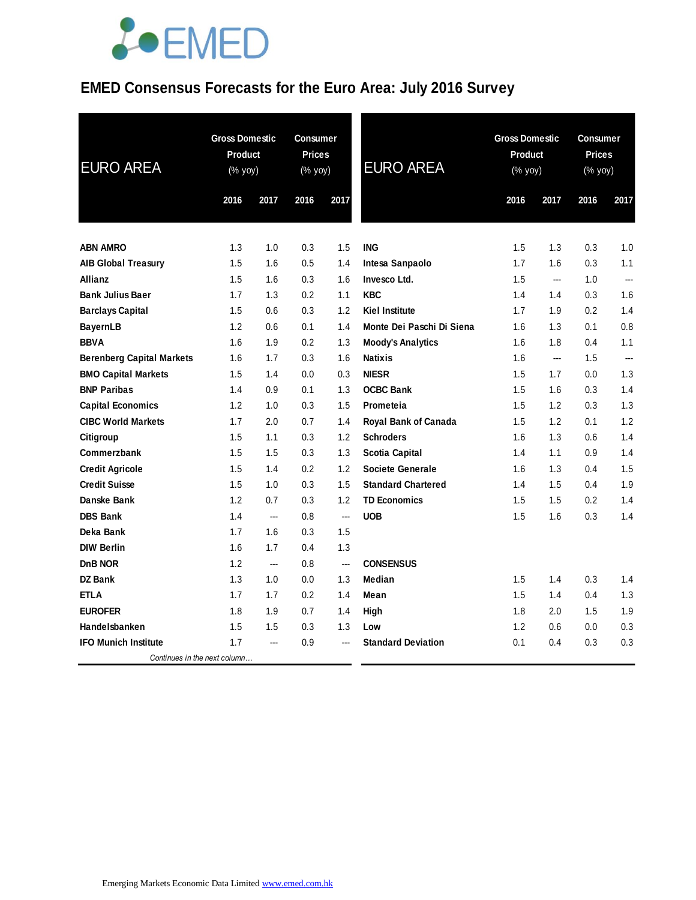### **EMED Consensus Forecasts for the Euro Area: July 2016 Survey**

| <b>EURO AREA</b>                 | <b>Gross Domestic</b><br><b>Product</b><br>(% yoy) |      |      |                          | <b>Consumer</b><br><b>Prices</b><br>(% yoy) |      | <b>EURO AREA</b> | <b>Gross Domestic</b><br>Product<br>(% yoy) |      | <b>Consumer</b><br><b>Prices</b><br>(% yoy) |  |
|----------------------------------|----------------------------------------------------|------|------|--------------------------|---------------------------------------------|------|------------------|---------------------------------------------|------|---------------------------------------------|--|
|                                  | 2016                                               | 2017 | 2016 | 2017                     |                                             | 2016 | 2017             | 2016                                        | 2017 |                                             |  |
| <b>ABN AMRO</b>                  | 1.3                                                | 1.0  | 0.3  | 1.5                      | <b>ING</b>                                  | 1.5  | 1.3              | 0.3                                         | 1.0  |                                             |  |
| <b>AIB Global Treasury</b>       | 1.5                                                | 1.6  | 0.5  | 1.4                      | Intesa Sanpaolo                             | 1.7  | 1.6              | 0.3                                         | 1.1  |                                             |  |
| <b>Allianz</b>                   | 1.5                                                | 1.6  | 0.3  | 1.6                      | Invesco Ltd.                                | 1.5  | ---              | 1.0                                         | ---  |                                             |  |
| <b>Bank Julius Baer</b>          | 1.7                                                | 1.3  | 0.2  | 1.1                      | <b>KBC</b>                                  | 1.4  | 1.4              | 0.3                                         | 1.6  |                                             |  |
| <b>Barclays Capital</b>          | 1.5                                                | 0.6  | 0.3  | 1.2                      | <b>Kiel Institute</b>                       | 1.7  | 1.9              | 0.2                                         | 1.4  |                                             |  |
| <b>BayernLB</b>                  | 1.2                                                | 0.6  | 0.1  | 1.4                      | Monte Dei Paschi Di Siena                   | 1.6  | 1.3              | 0.1                                         | 0.8  |                                             |  |
| <b>BBVA</b>                      | 1.6                                                | 1.9  | 0.2  | 1.3                      | <b>Moody's Analytics</b>                    | 1.6  | 1.8              | 0.4                                         | 1.1  |                                             |  |
| <b>Berenberg Capital Markets</b> | 1.6                                                | 1.7  | 0.3  | 1.6                      | <b>Natixis</b>                              | 1.6  | $\overline{a}$   | 1.5                                         | ---  |                                             |  |
| <b>BMO Capital Markets</b>       | 1.5                                                | 1.4  | 0.0  | 0.3                      | <b>NIESR</b>                                | 1.5  | 1.7              | 0.0                                         | 1.3  |                                             |  |
| <b>BNP Paribas</b>               | 1.4                                                | 0.9  | 0.1  | 1.3                      | <b>OCBC Bank</b>                            | 1.5  | 1.6              | 0.3                                         | 1.4  |                                             |  |
| <b>Capital Economics</b>         | 1.2                                                | 1.0  | 0.3  | 1.5                      | Prometeia                                   | 1.5  | 1.2              | 0.3                                         | 1.3  |                                             |  |
| <b>CIBC World Markets</b>        | 1.7                                                | 2.0  | 0.7  | 1.4                      | Royal Bank of Canada                        | 1.5  | 1.2              | 0.1                                         | 1.2  |                                             |  |
| Citigroup                        | 1.5                                                | 1.1  | 0.3  | 1.2                      | <b>Schroders</b>                            | 1.6  | 1.3              | 0.6                                         | 1.4  |                                             |  |
| Commerzbank                      | 1.5                                                | 1.5  | 0.3  | 1.3                      | <b>Scotia Capital</b>                       | 1.4  | 1.1              | 0.9                                         | 1.4  |                                             |  |
| <b>Credit Agricole</b>           | 1.5                                                | 1.4  | 0.2  | 1.2                      | Societe Generale                            | 1.6  | 1.3              | 0.4                                         | 1.5  |                                             |  |
| <b>Credit Suisse</b>             | 1.5                                                | 1.0  | 0.3  | 1.5                      | <b>Standard Chartered</b>                   | 1.4  | 1.5              | 0.4                                         | 1.9  |                                             |  |
| Danske Bank                      | 1.2                                                | 0.7  | 0.3  | 1.2                      | <b>TD Economics</b>                         | 1.5  | 1.5              | 0.2                                         | 1.4  |                                             |  |
| <b>DBS Bank</b>                  | 1.4                                                | ---  | 0.8  | ---                      | <b>UOB</b>                                  | 1.5  | 1.6              | 0.3                                         | 1.4  |                                             |  |
| Deka Bank                        | 1.7                                                | 1.6  | 0.3  | 1.5                      |                                             |      |                  |                                             |      |                                             |  |
| <b>DIW Berlin</b>                | 1.6                                                | 1.7  | 0.4  | 1.3                      |                                             |      |                  |                                             |      |                                             |  |
| D <sub>n</sub> B NOR             | 1.2                                                | ---  | 0.8  | $\overline{\phantom{a}}$ | <b>CONSENSUS</b>                            |      |                  |                                             |      |                                             |  |
| <b>DZ Bank</b>                   | 1.3                                                | 1.0  | 0.0  | 1.3                      | Median                                      | 1.5  | 1.4              | 0.3                                         | 1.4  |                                             |  |
| <b>ETLA</b>                      | 1.7                                                | 1.7  | 0.2  | 1.4                      | Mean                                        | 1.5  | 1.4              | 0.4                                         | 1.3  |                                             |  |
| <b>EUROFER</b>                   | 1.8                                                | 1.9  | 0.7  | 1.4                      | High                                        | 1.8  | 2.0              | 1.5                                         | 1.9  |                                             |  |
| Handelsbanken                    | 1.5                                                | 1.5  | 0.3  | 1.3                      | Low                                         | 1.2  | 0.6              | 0.0                                         | 0.3  |                                             |  |
| <b>IFO Munich Institute</b>      | 1.7                                                | ---  | 0.9  |                          | <b>Standard Deviation</b>                   | 0.1  | 0.4              | 0.3                                         | 0.3  |                                             |  |
| Continues in the next column     |                                                    |      |      |                          |                                             |      |                  |                                             |      |                                             |  |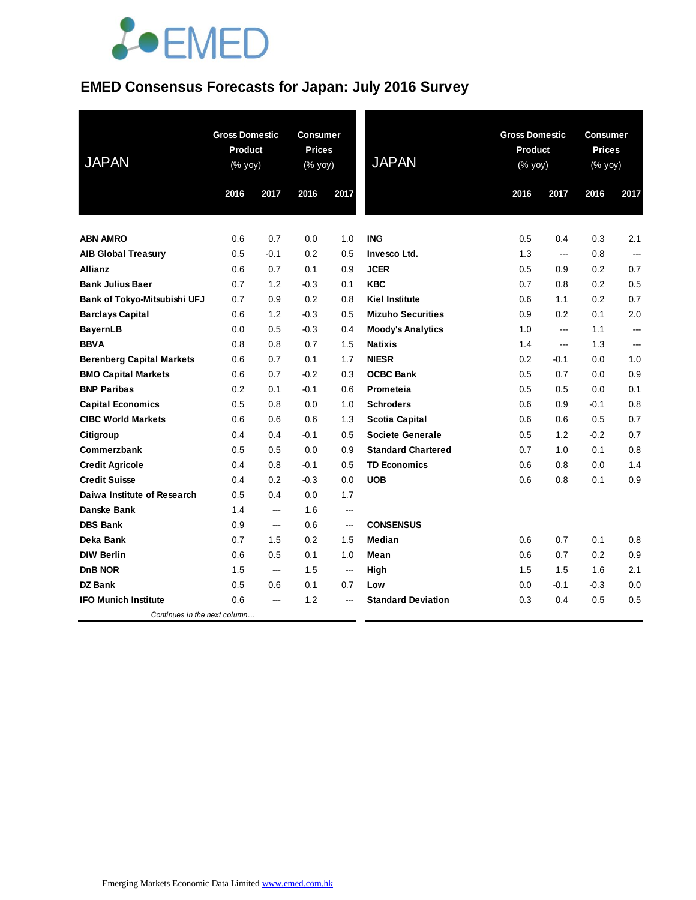#### **EMED Consensus Forecasts for Japan: July 2016 Survey**

| <b>JAPAN</b>                     | <b>Gross Domestic</b><br><b>Product</b><br>(% yoy) |                | <b>Consumer</b><br><b>Prices</b><br>(% yoy) |        | <b>JAPAN</b>              | <b>Gross Domestic</b><br><b>Product</b><br>(% yoy) |        | <b>Consumer</b><br><b>Prices</b><br>(% yoy) |                |
|----------------------------------|----------------------------------------------------|----------------|---------------------------------------------|--------|---------------------------|----------------------------------------------------|--------|---------------------------------------------|----------------|
|                                  | 2016                                               | 2017           | 2016                                        | 2017   |                           | 2016                                               | 2017   | 2016                                        | 2017           |
|                                  |                                                    |                |                                             |        |                           |                                                    |        |                                             |                |
| <b>ABN AMRO</b>                  | 0.6                                                | 0.7            | 0.0                                         | 1.0    | <b>ING</b>                | 0.5                                                | 0.4    | 0.3                                         | 2.1            |
| <b>AIB Global Treasury</b>       | 0.5                                                | $-0.1$         | 0.2                                         | 0.5    | Invesco Ltd.              | 1.3                                                | ---    | 0.8                                         | $\overline{a}$ |
| <b>Allianz</b>                   | 0.6                                                | 0.7            | 0.1                                         | 0.9    | <b>JCER</b>               | 0.5                                                | 0.9    | 0.2                                         | 0.7            |
| <b>Bank Julius Baer</b>          | 0.7                                                | 1.2            | $-0.3$                                      | 0.1    | <b>KBC</b>                | 0.7                                                | 0.8    | 0.2                                         | 0.5            |
| Bank of Tokyo-Mitsubishi UFJ     | 0.7                                                | 0.9            | 0.2                                         | 0.8    | <b>Kiel Institute</b>     | 0.6                                                | 1.1    | 0.2                                         | 0.7            |
| <b>Barclays Capital</b>          | 0.6                                                | 1.2            | $-0.3$                                      | 0.5    | <b>Mizuho Securities</b>  | 0.9                                                | 0.2    | 0.1                                         | 2.0            |
| <b>BayernLB</b>                  | 0.0                                                | 0.5            | $-0.3$                                      | 0.4    | <b>Moody's Analytics</b>  | 1.0                                                | ---    | 1.1                                         | ---            |
| <b>BBVA</b>                      | 0.8                                                | 0.8            | 0.7                                         | 1.5    | <b>Natixis</b>            | 1.4                                                | ---    | 1.3                                         |                |
| <b>Berenberg Capital Markets</b> | 0.6                                                | 0.7            | 0.1                                         | 1.7    | <b>NIESR</b>              | 0.2                                                | $-0.1$ | 0.0                                         | 1.0            |
| <b>BMO Capital Markets</b>       | 0.6                                                | 0.7            | $-0.2$                                      | 0.3    | <b>OCBC Bank</b>          | 0.5                                                | 0.7    | 0.0                                         | 0.9            |
| <b>BNP Paribas</b>               | 0.2                                                | 0.1            | $-0.1$                                      | 0.6    | Prometeia                 | 0.5                                                | 0.5    | 0.0                                         | 0.1            |
| <b>Capital Economics</b>         | 0.5                                                | 0.8            | 0.0                                         | 1.0    | <b>Schroders</b>          | 0.6                                                | 0.9    | $-0.1$                                      | 0.8            |
| <b>CIBC World Markets</b>        | 0.6                                                | 0.6            | 0.6                                         | 1.3    | <b>Scotia Capital</b>     | 0.6                                                | 0.6    | 0.5                                         | 0.7            |
| Citigroup                        | 0.4                                                | 0.4            | $-0.1$                                      | 0.5    | <b>Societe Generale</b>   | 0.5                                                | 1.2    | $-0.2$                                      | 0.7            |
| Commerzbank                      | 0.5                                                | 0.5            | 0.0                                         | 0.9    | <b>Standard Chartered</b> | 0.7                                                | 1.0    | 0.1                                         | 0.8            |
| <b>Credit Agricole</b>           | 0.4                                                | 0.8            | $-0.1$                                      | 0.5    | <b>TD Economics</b>       | 0.6                                                | 0.8    | 0.0                                         | 1.4            |
| <b>Credit Suisse</b>             | 0.4                                                | 0.2            | $-0.3$                                      | 0.0    | <b>UOB</b>                | 0.6                                                | 0.8    | 0.1                                         | 0.9            |
| Daiwa Institute of Research      | 0.5                                                | 0.4            | 0.0                                         | 1.7    |                           |                                                    |        |                                             |                |
| <b>Danske Bank</b>               | 1.4                                                | ---            | 1.6                                         | ---    |                           |                                                    |        |                                             |                |
| <b>DBS Bank</b>                  | 0.9                                                | ---            | 0.6                                         | ---    | <b>CONSENSUS</b>          |                                                    |        |                                             |                |
| Deka Bank                        | 0.7                                                | 1.5            | 0.2                                         | 1.5    | Median                    | 0.6                                                | 0.7    | 0.1                                         | 0.8            |
| <b>DIW Berlin</b>                | 0.6                                                | 0.5            | 0.1                                         | 1.0    | Mean                      | 0.6                                                | 0.7    | 0.2                                         | 0.9            |
| DnB NOR                          | 1.5                                                | ---            | 1.5                                         | $\sim$ | High                      | 1.5                                                | 1.5    | 1.6                                         | 2.1            |
| <b>DZ Bank</b>                   | 0.5                                                | 0.6            | 0.1                                         | 0.7    | Low                       | 0.0                                                | $-0.1$ | -0.3                                        | 0.0            |
| <b>IFO Munich Institute</b>      | 0.6                                                | $\overline{a}$ | 1.2                                         | ---    | <b>Standard Deviation</b> | 0.3                                                | 0.4    | 0.5                                         | 0.5            |
| Continues in the next column     |                                                    |                |                                             |        |                           |                                                    |        |                                             |                |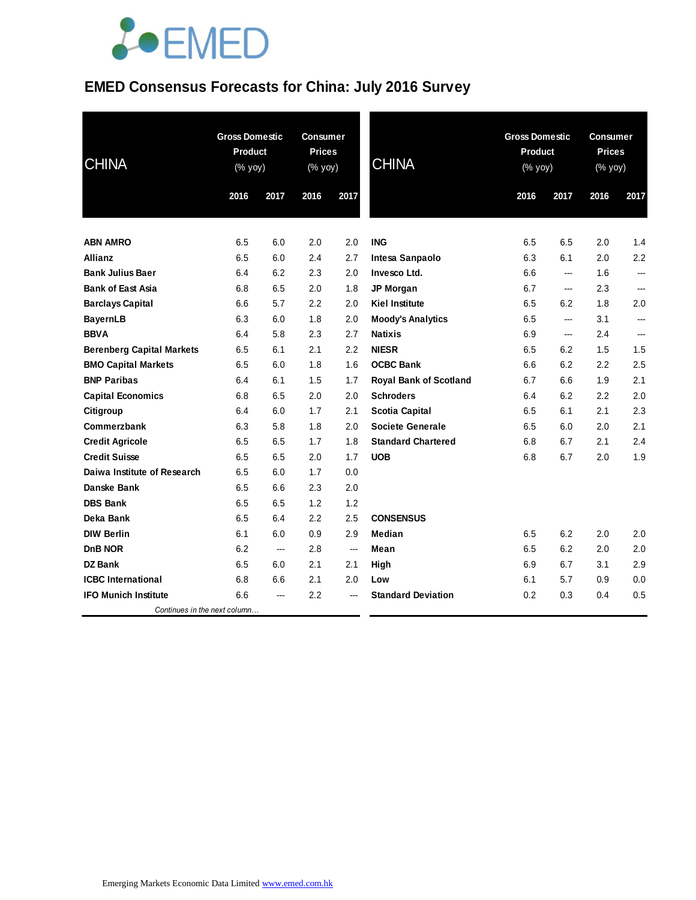### **EMED Consensus Forecasts for China: July 2016 Survey**

| <b>CHINA</b>                     | <b>Gross Domestic</b><br><b>Product</b><br>(% yoy) |                          | <b>Consumer</b><br><b>Prices</b><br>(% yoy) |      | <b>CHINA</b>                  | <b>Gross Domestic</b><br><b>Product</b><br>(% yoy) |      | <b>Consumer</b><br><b>Prices</b><br>(% yoy) |      |
|----------------------------------|----------------------------------------------------|--------------------------|---------------------------------------------|------|-------------------------------|----------------------------------------------------|------|---------------------------------------------|------|
|                                  | 2016                                               | 2017                     | 2016                                        | 2017 |                               | 2016                                               | 2017 | 2016                                        | 2017 |
|                                  |                                                    |                          |                                             |      |                               |                                                    |      |                                             |      |
| <b>ABN AMRO</b>                  | 6.5                                                | 6.0                      | 2.0                                         | 2.0  | <b>ING</b>                    | 6.5                                                | 6.5  | 2.0                                         | 1.4  |
| Allianz                          | 6.5                                                | 6.0                      | 2.4                                         | 2.7  | Intesa Sanpaolo               | 6.3                                                | 6.1  | 2.0                                         | 2.2  |
| <b>Bank Julius Baer</b>          | 6.4                                                | 6.2                      | 2.3                                         | 2.0  | Invesco Ltd.                  | 6.6                                                | ---  | 1.6                                         | ---  |
| <b>Bank of East Asia</b>         | 6.8                                                | 6.5                      | 2.0                                         | 1.8  | JP Morgan                     | 6.7                                                | ---  | 2.3                                         |      |
| <b>Barclays Capital</b>          | 6.6                                                | 5.7                      | 2.2                                         | 2.0  | <b>Kiel Institute</b>         | 6.5                                                | 6.2  | 1.8                                         | 2.0  |
| <b>BayernLB</b>                  | 6.3                                                | 6.0                      | 1.8                                         | 2.0  | <b>Moody's Analytics</b>      | 6.5                                                | ---  | 3.1                                         | ---  |
| <b>BBVA</b>                      | 6.4                                                | 5.8                      | 2.3                                         | 2.7  | <b>Natixis</b>                | 6.9                                                | ---  | 2.4                                         | ---  |
| <b>Berenberg Capital Markets</b> | 6.5                                                | 6.1                      | 2.1                                         | 2.2  | <b>NIESR</b>                  | 6.5                                                | 6.2  | 1.5                                         | 1.5  |
| <b>BMO Capital Markets</b>       | 6.5                                                | 6.0                      | 1.8                                         | 1.6  | <b>OCBC Bank</b>              | 6.6                                                | 6.2  | 2.2                                         | 2.5  |
| <b>BNP Paribas</b>               | 6.4                                                | 6.1                      | 1.5                                         | 1.7  | <b>Royal Bank of Scotland</b> | 6.7                                                | 6.6  | 1.9                                         | 2.1  |
| <b>Capital Economics</b>         | 6.8                                                | 6.5                      | 2.0                                         | 2.0  | <b>Schroders</b>              | 6.4                                                | 6.2  | 2.2                                         | 2.0  |
| Citigroup                        | 6.4                                                | 6.0                      | 1.7                                         | 2.1  | <b>Scotia Capital</b>         | 6.5                                                | 6.1  | 2.1                                         | 2.3  |
| Commerzbank                      | 6.3                                                | 5.8                      | 1.8                                         | 2.0  | <b>Societe Generale</b>       | 6.5                                                | 6.0  | 2.0                                         | 2.1  |
| <b>Credit Agricole</b>           | 6.5                                                | 6.5                      | 1.7                                         | 1.8  | <b>Standard Chartered</b>     | 6.8                                                | 6.7  | 2.1                                         | 2.4  |
| <b>Credit Suisse</b>             | 6.5                                                | 6.5                      | 2.0                                         | 1.7  | <b>UOB</b>                    | 6.8                                                | 6.7  | 2.0                                         | 1.9  |
| Daiwa Institute of Research      | 6.5                                                | 6.0                      | 1.7                                         | 0.0  |                               |                                                    |      |                                             |      |
| Danske Bank                      | 6.5                                                | 6.6                      | 2.3                                         | 2.0  |                               |                                                    |      |                                             |      |
| <b>DBS Bank</b>                  | 6.5                                                | 6.5                      | 1.2                                         | 1.2  |                               |                                                    |      |                                             |      |
| Deka Bank                        | 6.5                                                | 6.4                      | 2.2                                         | 2.5  | <b>CONSENSUS</b>              |                                                    |      |                                             |      |
| <b>DIW Berlin</b>                | 6.1                                                | 6.0                      | 0.9                                         | 2.9  | Median                        | 6.5                                                | 6.2  | 2.0                                         | 2.0  |
| D <sub>n</sub> B NOR             | 6.2                                                | $\overline{\phantom{a}}$ | 2.8                                         | ---  | Mean                          | 6.5                                                | 6.2  | 2.0                                         | 2.0  |
| DZ Bank                          | 6.5                                                | 6.0                      | 2.1                                         | 2.1  | High                          | 6.9                                                | 6.7  | 3.1                                         | 2.9  |
| <b>ICBC</b> International        | 6.8                                                | 6.6                      | 2.1                                         | 2.0  | Low                           | 6.1                                                | 5.7  | 0.9                                         | 0.0  |
| <b>IFO Munich Institute</b>      | 6.6                                                | ---                      | 2.2                                         |      | <b>Standard Deviation</b>     | 0.2                                                | 0.3  | 0.4                                         | 0.5  |
| Continues in the next column     |                                                    |                          |                                             |      |                               |                                                    |      |                                             |      |